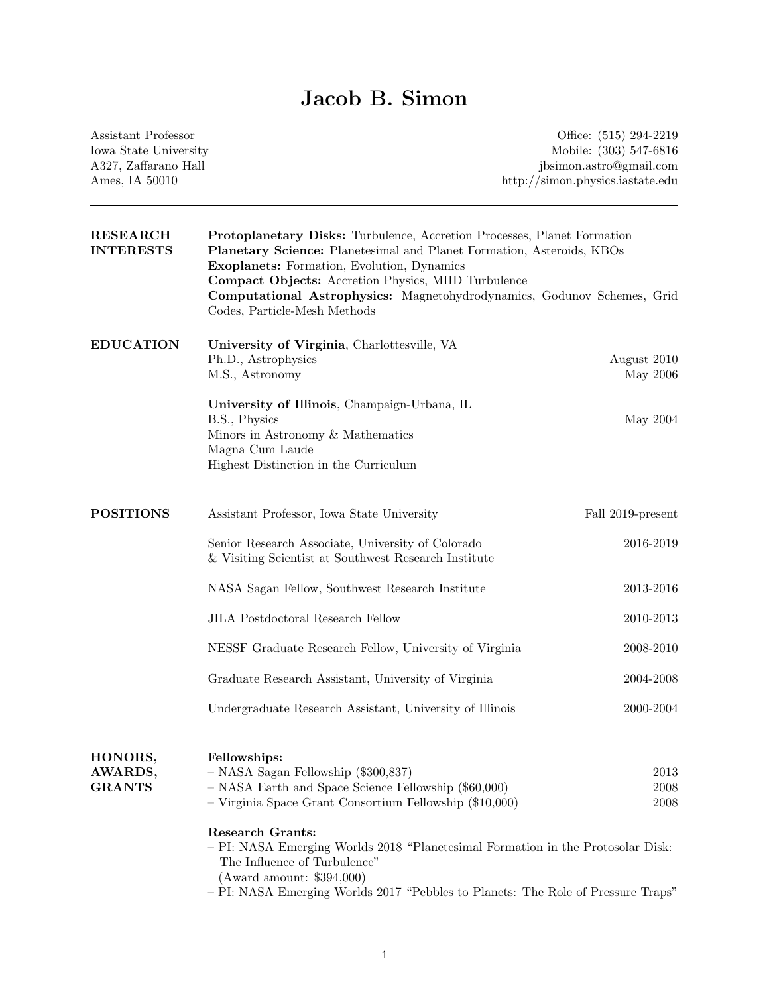# Jacob B. Simon

| Assistant Professor<br>Iowa State University<br>A327, Zaffarano Hall |                                                                                                                                                                                                                                                                                                                                                                                                                                         | Office: (515) 294-2219<br>Mobile: (303) 547-6816<br>jbsimon.astro@gmail.com |  |
|----------------------------------------------------------------------|-----------------------------------------------------------------------------------------------------------------------------------------------------------------------------------------------------------------------------------------------------------------------------------------------------------------------------------------------------------------------------------------------------------------------------------------|-----------------------------------------------------------------------------|--|
| Ames, IA 50010                                                       |                                                                                                                                                                                                                                                                                                                                                                                                                                         | http://simon.physics.iastate.edu                                            |  |
| <b>RESEARCH</b><br><b>INTERESTS</b>                                  | <b>Protoplanetary Disks:</b> Turbulence, Accretion Processes, Planet Formation<br>Planetary Science: Planetesimal and Planet Formation, Asteroids, KBOs<br>Exoplanets: Formation, Evolution, Dynamics<br>Compact Objects: Accretion Physics, MHD Turbulence<br>Computational Astrophysics: Magnetohydrodynamics, Godunov Schemes, Grid<br>Codes, Particle-Mesh Methods                                                                  |                                                                             |  |
| <b>EDUCATION</b>                                                     | University of Virginia, Charlottesville, VA<br>Ph.D., Astrophysics<br>M.S., Astronomy                                                                                                                                                                                                                                                                                                                                                   | August 2010<br>May 2006                                                     |  |
|                                                                      | University of Illinois, Champaign-Urbana, IL<br>B.S., Physics<br>Minors in Astronomy & Mathematics<br>Magna Cum Laude<br>Highest Distinction in the Curriculum                                                                                                                                                                                                                                                                          | May 2004                                                                    |  |
| <b>POSITIONS</b>                                                     | Assistant Professor, Iowa State University                                                                                                                                                                                                                                                                                                                                                                                              | Fall 2019-present                                                           |  |
|                                                                      | Senior Research Associate, University of Colorado<br>& Visiting Scientist at Southwest Research Institute                                                                                                                                                                                                                                                                                                                               | 2016-2019                                                                   |  |
|                                                                      | NASA Sagan Fellow, Southwest Research Institute                                                                                                                                                                                                                                                                                                                                                                                         | 2013-2016                                                                   |  |
|                                                                      | <b>JILA</b> Postdoctoral Research Fellow                                                                                                                                                                                                                                                                                                                                                                                                | 2010-2013                                                                   |  |
|                                                                      | NESSF Graduate Research Fellow, University of Virginia                                                                                                                                                                                                                                                                                                                                                                                  | 2008-2010                                                                   |  |
|                                                                      | Graduate Research Assistant, University of Virginia                                                                                                                                                                                                                                                                                                                                                                                     | 2004-2008                                                                   |  |
|                                                                      | Undergraduate Research Assistant, University of Illinois                                                                                                                                                                                                                                                                                                                                                                                | 2000-2004                                                                   |  |
| HONORS,<br>AWARDS,<br><b>GRANTS</b>                                  | Fellowships:<br>- NASA Sagan Fellowship (\$300,837)<br>$-$ NASA Earth and Space Science Fellowship (\$60,000)<br>- Virginia Space Grant Consortium Fellowship (\$10,000)<br><b>Research Grants:</b><br>- PI: NASA Emerging Worlds 2018 "Planetesimal Formation in the Protosolar Disk:<br>The Influence of Turbulence"<br>(Award amount: \$394,000)<br>- PI: NASA Emerging Worlds 2017 "Pebbles to Planets: The Role of Pressure Traps" | 2013<br>2008<br>2008                                                        |  |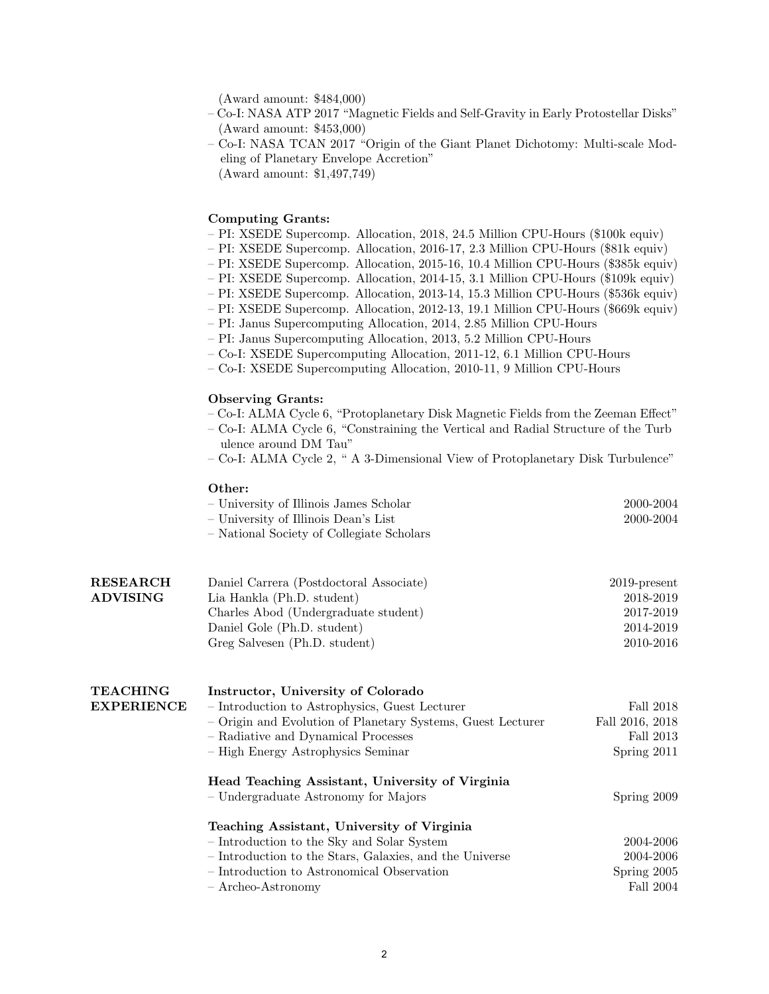– (Award amount: \$484,000)

- Co-I: NASA ATP 2017 "Magnetic Fields and Self-Gravity in Early Protostellar Disks" – (Award amount: \$453,000)
- Co-I: NASA TCAN 2017 "Origin of the Giant Planet Dichotomy: Multi-scale Mod- —eling of Planetary Envelope Accretion" – (Award amount: \$1,497,749)
	-

### Computing Grants:

- PI: XSEDE Supercomp. Allocation, 2018, 24.5 Million CPU-Hours (\$100k equiv)
- PI: XSEDE Supercomp. Allocation, 2016-17, 2.3 Million CPU-Hours (\$81k equiv)
- PI: XSEDE Supercomp. Allocation, 2015-16, 10.4 Million CPU-Hours (\$385k equiv)
- PI: XSEDE Supercomp. Allocation, 2014-15, 3.1 Million CPU-Hours (\$109k equiv)
- PI: XSEDE Supercomp. Allocation, 2013-14, 15.3 Million CPU-Hours (\$536k equiv)
- PI: XSEDE Supercomp. Allocation, 2012-13, 19.1 Million CPU-Hours (\$669k equiv)
- PI: Janus Supercomputing Allocation, 2014, 2.85 Million CPU-Hours
- PI: Janus Supercomputing Allocation, 2013, 5.2 Million CPU-Hours
- Co-I: XSEDE Supercomputing Allocation, 2011-12, 6.1 Million CPU-Hours
- Co-I: XSEDE Supercomputing Allocation, 2010-11, 9 Million CPU-Hours

### Observing Grants:

- $-$  Co-I: ALMA Cycle 6, "Protoplanetary Disk Magnetic Fields from the Zeeman Effect"
- Co-I: ALMA Cycle 6, "Constraining the Vertical and Radial Structure of the Turb ulence around DM Tau"
- Co-I: ALMA Cycle 2, " A 3-Dimensional View of Protoplanetary Disk Turbulence"

### Other:

| - University of Illinois James Scholar    | 2000-2004 |
|-------------------------------------------|-----------|
| – University of Illinois Dean's List      | 2000-2004 |
| - National Society of Collegiate Scholars |           |

| <b>RESEARCH</b> | Daniel Carrera (Postdoctoral Associate) | $2019$ -present |
|-----------------|-----------------------------------------|-----------------|
| <b>ADVISING</b> | Lia Hankla (Ph.D. student)              | 2018-2019       |
|                 | Charles Abod (Undergraduate student)    | 2017-2019       |
|                 | Daniel Gole (Ph.D. student)             | 2014-2019       |
|                 | Greg Salvesen (Ph.D. student)           | 2010-2016       |

| <b>TEACHING</b>   | Instructor, University of Colorado                          |                 |
|-------------------|-------------------------------------------------------------|-----------------|
| <b>EXPERIENCE</b> | - Introduction to Astrophysics, Guest Lecturer              | Fall 2018       |
|                   | - Origin and Evolution of Planetary Systems, Guest Lecturer | Fall 2016, 2018 |
|                   | - Radiative and Dynamical Processes                         | Fall 2013       |
|                   | - High Energy Astrophysics Seminar                          | Spring $2011$   |
|                   | Head Teaching Assistant, University of Virginia             |                 |
|                   | - Undergraduate Astronomy for Majors                        | Spring 2009     |
|                   | Teaching Assistant, University of Virginia                  |                 |
|                   | - Introduction to the Sky and Solar System                  | 2004-2006       |
|                   | - Introduction to the Stars, Galaxies, and the Universe     | 2004-2006       |
|                   | - Introduction to Astronomical Observation                  | Spring $2005$   |
|                   | $-$ Archeo-Astronomy                                        | Fall 2004       |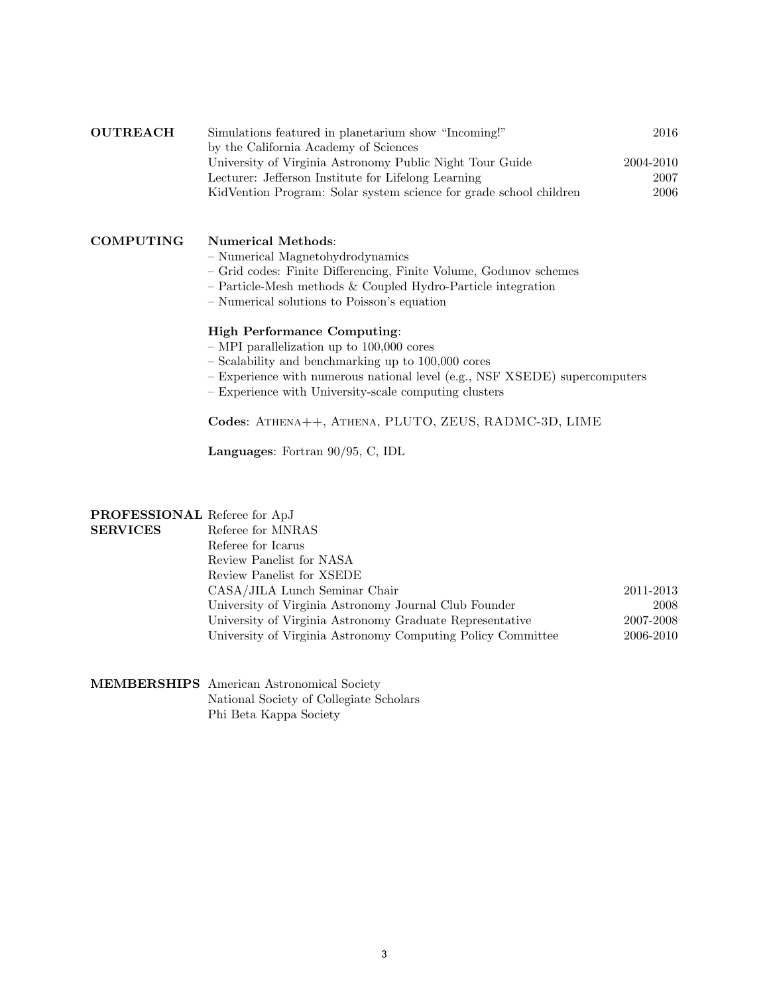| <b>OUTREACH</b> | Simulations featured in planetarium show "Incoming!"               | 2016      |
|-----------------|--------------------------------------------------------------------|-----------|
|                 | by the California Academy of Sciences                              |           |
|                 | University of Virginia Astronomy Public Night Tour Guide           | 2004-2010 |
|                 | Lecturer: Jefferson Institute for Lifelong Learning                | 2007      |
|                 | KidVention Program: Solar system science for grade school children | 2006      |

### COMPUTING Numerical Methods:

- Numerical Magnetohydrodynamics
- Grid codes: Finite Di↵erencing, Finite Volume, Godunov schemes
- Particle-Mesh methods & Coupled Hydro-Particle integration
- Numerical solutions to Poisson's equation

## High Performance Computing:

- MPI parallelization up to 100,000 cores
- Scalability and benchmarking up to 100,000 cores
- Experience with numerous national level (e.g., NSF XSEDE) supercomputers
- Experience with University-scale computing clusters

Codes: Athena++, Athena, PLUTO, ZEUS, RADMC-3D, LIME

Languages: Fortran 90/95, C, IDL

# PROFESSIONAL Referee for ApJ

| <b>SERVICES</b> | Referee for MNRAS                                           |           |
|-----------------|-------------------------------------------------------------|-----------|
|                 | Referee for Icarus                                          |           |
|                 | Review Panelist for NASA                                    |           |
|                 | Review Panelist for XSEDE                                   |           |
|                 | CASA/JILA Lunch Seminar Chair                               | 2011-2013 |
|                 | University of Virginia Astronomy Journal Club Founder       | 2008      |
|                 | University of Virginia Astronomy Graduate Representative    | 2007-2008 |
|                 | University of Virginia Astronomy Computing Policy Committee | 2006-2010 |

MEMBERSHIPS American Astronomical Society National Society of Collegiate Scholars Phi Beta Kappa Society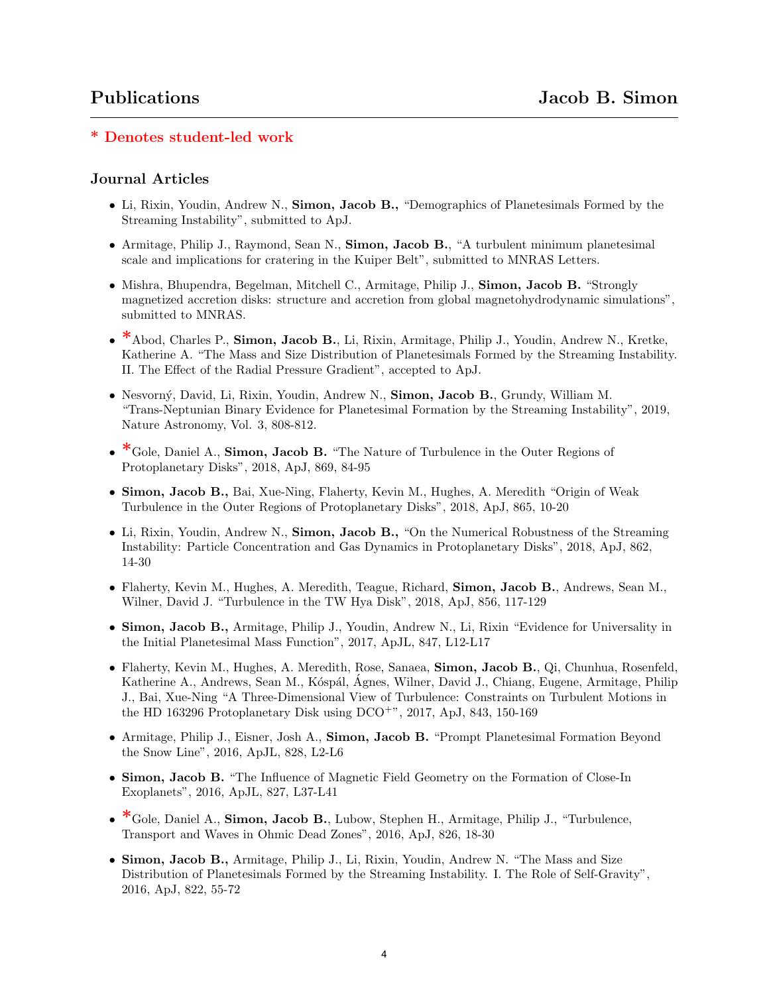# \* Denotes student-led work

# Journal Articles

- Li, Rixin, Youdin, Andrew N., **Simon, Jacob B.**, "Demographics of Planetesimals Formed by the Streaming Instability", submitted to ApJ.
- *•* Armitage, Philip J., Raymond, Sean N., Simon, Jacob B., "A turbulent minimum planetesimal scale and implications for cratering in the Kuiper Belt", submitted to MNRAS Letters.
- Mishra, Bhupendra, Begelman, Mitchell C., Armitage, Philip J., **Simon, Jacob B.** "Strongly magnetized accretion disks: structure and accretion from global magnetohydrodynamic simulations", submitted to MNRAS.
- \* Abod, Charles P., Simon, Jacob B., Li, Rixin, Armitage, Philip J., Youdin, Andrew N., Kretke, Katherine A. "The Mass and Size Distribution of Planetesimals Formed by the Streaming Instability. II. The Effect of the Radial Pressure Gradient", accepted to ApJ.
- Nesvorný, David, Li, Rixin, Youdin, Andrew N., Simon, Jacob B., Grundy, William M. "Trans-Neptunian Binary Evidence for Planetesimal Formation by the Streaming Instability", 2019, Nature Astronomy, Vol. 3, 808-812.
- <sup>\*</sup>Gole, Daniel A., **Simon, Jacob B.** "The Nature of Turbulence in the Outer Regions of Protoplanetary Disks", 2018, ApJ, 869, 84-95
- *•* Simon, Jacob B., Bai, Xue-Ning, Flaherty, Kevin M., Hughes, A. Meredith "Origin of Weak Turbulence in the Outer Regions of Protoplanetary Disks", 2018, ApJ, 865, 10-20
- Li, Rixin, Youdin, Andrew N., **Simon, Jacob B.**, "On the Numerical Robustness of the Streaming Instability: Particle Concentration and Gas Dynamics in Protoplanetary Disks", 2018, ApJ, 862, 14-30
- *•* Flaherty, Kevin M., Hughes, A. Meredith, Teague, Richard, Simon, Jacob B., Andrews, Sean M., Wilner, David J. "Turbulence in the TW Hya Disk", 2018, ApJ, 856, 117-129
- *•* Simon, Jacob B., Armitage, Philip J., Youdin, Andrew N., Li, Rixin "Evidence for Universality in the Initial Planetesimal Mass Function", 2017, ApJL, 847, L12-L17
- Flaherty, Kevin M., Hughes, A. Meredith, Rose, Sanaea, **Simon, Jacob B.**, Qi, Chunhua, Rosenfeld, Katherine A., Andrews, Sean M., Kóspál, Ágnes, Wilner, David J., Chiang, Eugene, Armitage, Philip J., Bai, Xue-Ning "A Three-Dimensional View of Turbulence: Constraints on Turbulent Motions in the HD 163296 Protoplanetary Disk using  $DCO^{+}$ ", 2017, ApJ, 843, 150-169
- *•* Armitage, Philip J., Eisner, Josh A., Simon, Jacob B. "Prompt Planetesimal Formation Beyond the Snow Line", 2016, ApJL, 828, L2-L6
- Simon, Jacob B. "The Influence of Magnetic Field Geometry on the Formation of Close-In Exoplanets", 2016, ApJL, 827, L37-L41
- \*Gole, Daniel A., Simon, Jacob B., Lubow, Stephen H., Armitage, Philip J., "Turbulence, Transport and Waves in Ohmic Dead Zones", 2016, ApJ, 826, 18-30
- *•* Simon, Jacob B., Armitage, Philip J., Li, Rixin, Youdin, Andrew N. "The Mass and Size Distribution of Planetesimals Formed by the Streaming Instability. I. The Role of Self-Gravity", 2016, ApJ, 822, 55-72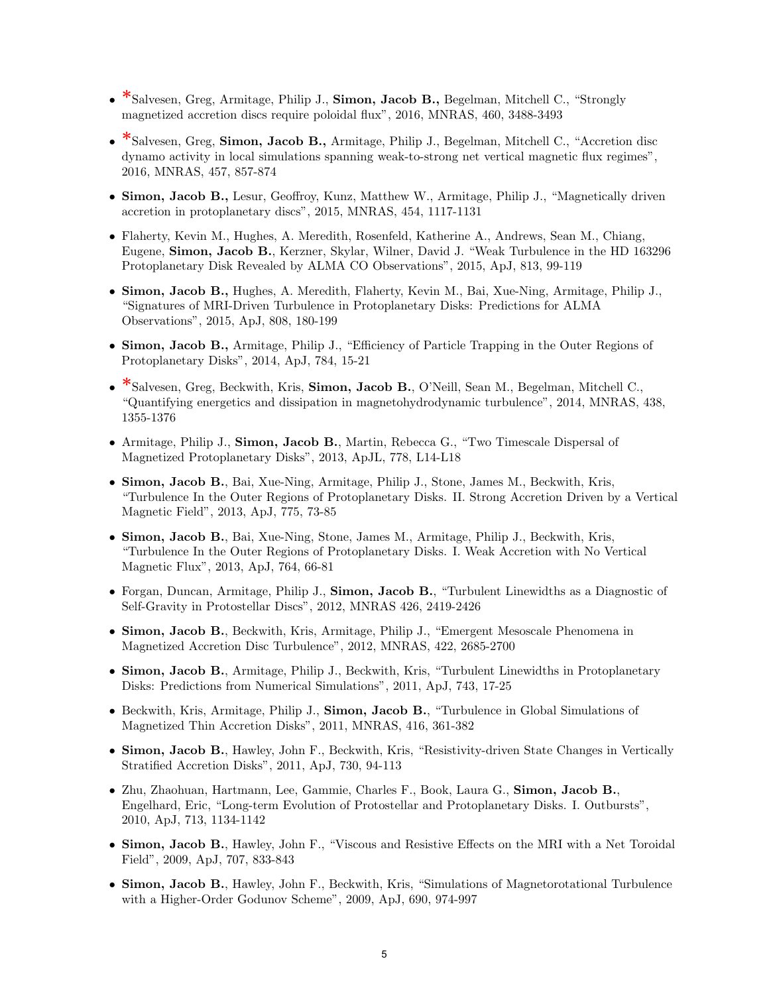- \*Salvesen, Greg, Armitage, Philip J., **Simon, Jacob B.,** Begelman, Mitchell C., "Strongly" magnetized accretion discs require poloidal flux", 2016, MNRAS, 460, 3488-3493
- \*Salvesen, Greg, Simon, Jacob B., Armitage, Philip J., Begelman, Mitchell C., "Accretion disc dynamo activity in local simulations spanning weak-to-strong net vertical magnetic flux regimes", 2016, MNRAS, 457, 857-874
- Simon, Jacob B., Lesur, Geoffroy, Kunz, Matthew W., Armitage, Philip J., "Magnetically driven accretion in protoplanetary discs", 2015, MNRAS, 454, 1117-1131
- *•* Flaherty, Kevin M., Hughes, A. Meredith, Rosenfeld, Katherine A., Andrews, Sean M., Chiang, Eugene, Simon, Jacob B., Kerzner, Skylar, Wilner, David J. "Weak Turbulence in the HD 163296 Protoplanetary Disk Revealed by ALMA CO Observations", 2015, ApJ, 813, 99-119
- *•* Simon, Jacob B., Hughes, A. Meredith, Flaherty, Kevin M., Bai, Xue-Ning, Armitage, Philip J., "Signatures of MRI-Driven Turbulence in Protoplanetary Disks: Predictions for ALMA Observations", 2015, ApJ, 808, 180-199
- Simon, Jacob B., Armitage, Philip J., "Efficiency of Particle Trapping in the Outer Regions of Protoplanetary Disks", 2014, ApJ, 784, 15-21
- \*Salvesen, Greg, Beckwith, Kris, Simon, Jacob B., O'Neill, Sean M., Begelman, Mitchell C., "Quantifying energetics and dissipation in magnetohydrodynamic turbulence", 2014, MNRAS, 438, 1355-1376
- *•* Armitage, Philip J., Simon, Jacob B., Martin, Rebecca G., "Two Timescale Dispersal of Magnetized Protoplanetary Disks", 2013, ApJL, 778, L14-L18
- *•* Simon, Jacob B., Bai, Xue-Ning, Armitage, Philip J., Stone, James M., Beckwith, Kris, "Turbulence In the Outer Regions of Protoplanetary Disks. II. Strong Accretion Driven by a Vertical Magnetic Field", 2013, ApJ, 775, 73-85
- *•* Simon, Jacob B., Bai, Xue-Ning, Stone, James M., Armitage, Philip J., Beckwith, Kris, "Turbulence In the Outer Regions of Protoplanetary Disks. I. Weak Accretion with No Vertical Magnetic Flux", 2013, ApJ, 764, 66-81
- Forgan, Duncan, Armitage, Philip J., Simon, Jacob B., "Turbulent Linewidths as a Diagnostic of Self-Gravity in Protostellar Discs", 2012, MNRAS 426, 2419-2426
- *•* Simon, Jacob B., Beckwith, Kris, Armitage, Philip J., "Emergent Mesoscale Phenomena in Magnetized Accretion Disc Turbulence", 2012, MNRAS, 422, 2685-2700
- Simon, Jacob B., Armitage, Philip J., Beckwith, Kris, "Turbulent Linewidths in Protoplanetary Disks: Predictions from Numerical Simulations", 2011, ApJ, 743, 17-25
- Beckwith, Kris, Armitage, Philip J., **Simon, Jacob B.**, "Turbulence in Global Simulations of Magnetized Thin Accretion Disks", 2011, MNRAS, 416, 361-382
- Simon, Jacob B., Hawley, John F., Beckwith, Kris, "Resistivity-driven State Changes in Vertically Stratified Accretion Disks", 2011, ApJ, 730, 94-113
- *•* Zhu, Zhaohuan, Hartmann, Lee, Gammie, Charles F., Book, Laura G., Simon, Jacob B., Engelhard, Eric, "Long-term Evolution of Protostellar and Protoplanetary Disks. I. Outbursts", 2010, ApJ, 713, 1134-1142
- Simon, Jacob B., Hawley, John F., "Viscous and Resistive Effects on the MRI with a Net Toroidal Field", 2009, ApJ, 707, 833-843
- Simon, Jacob B., Hawley, John F., Beckwith, Kris, "Simulations of Magnetorotational Turbulence with a Higher-Order Godunov Scheme", 2009, ApJ, 690, 974-997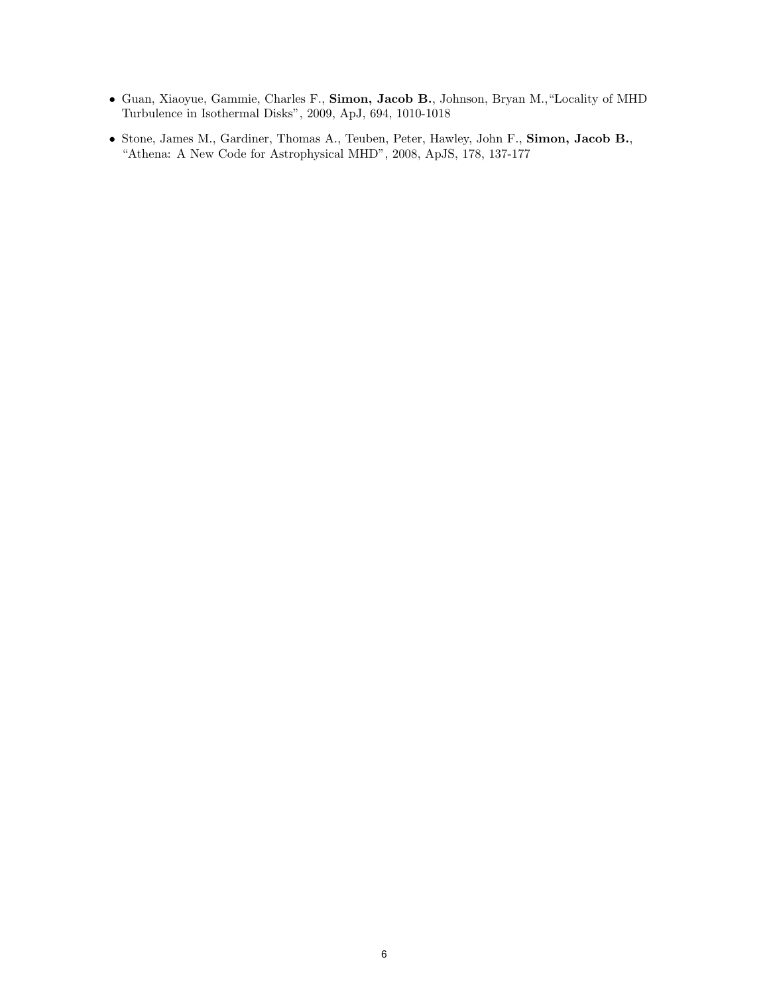- *•* Guan, Xiaoyue, Gammie, Charles F., Simon, Jacob B., Johnson, Bryan M.,"Locality of MHD Turbulence in Isothermal Disks", 2009, ApJ, 694, 1010-1018
- *•* Stone, James M., Gardiner, Thomas A., Teuben, Peter, Hawley, John F., Simon, Jacob B., "Athena: A New Code for Astrophysical MHD", 2008, ApJS, 178, 137-177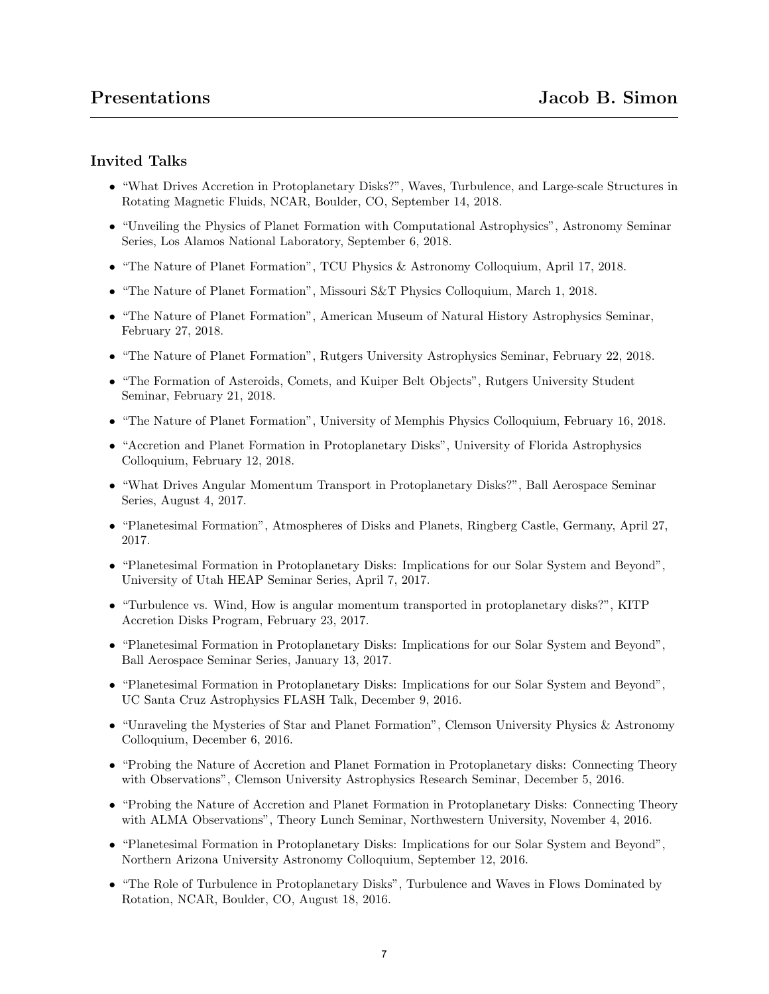# Invited Talks

- *•* "What Drives Accretion in Protoplanetary Disks?", Waves, Turbulence, and Large-scale Structures in Rotating Magnetic Fluids, NCAR, Boulder, CO, September 14, 2018.
- *•* "Unveiling the Physics of Planet Formation with Computational Astrophysics", Astronomy Seminar Series, Los Alamos National Laboratory, September 6, 2018.
- "The Nature of Planet Formation", TCU Physics & Astronomy Colloquium, April 17, 2018.
- *•* "The Nature of Planet Formation", Missouri S&T Physics Colloquium, March 1, 2018.
- *•* "The Nature of Planet Formation", American Museum of Natural History Astrophysics Seminar, February 27, 2018.
- "The Nature of Planet Formation", Rutgers University Astrophysics Seminar, February 22, 2018.
- "The Formation of Asteroids, Comets, and Kuiper Belt Objects", Rutgers University Student Seminar, February 21, 2018.
- "The Nature of Planet Formation", University of Memphis Physics Colloquium, February 16, 2018.
- "Accretion and Planet Formation in Protoplanetary Disks", University of Florida Astrophysics Colloquium, February 12, 2018.
- *•* "What Drives Angular Momentum Transport in Protoplanetary Disks?", Ball Aerospace Seminar Series, August 4, 2017.
- *•* "Planetesimal Formation", Atmospheres of Disks and Planets, Ringberg Castle, Germany, April 27, 2017.
- *•* "Planetesimal Formation in Protoplanetary Disks: Implications for our Solar System and Beyond", University of Utah HEAP Seminar Series, April 7, 2017.
- "Turbulence vs. Wind, How is angular momentum transported in protoplanetary disks?", KITP Accretion Disks Program, February 23, 2017.
- "Planetesimal Formation in Protoplanetary Disks: Implications for our Solar System and Beyond", Ball Aerospace Seminar Series, January 13, 2017.
- "Planetesimal Formation in Protoplanetary Disks: Implications for our Solar System and Beyond", UC Santa Cruz Astrophysics FLASH Talk, December 9, 2016.
- *•* "Unraveling the Mysteries of Star and Planet Formation", Clemson University Physics & Astronomy Colloquium, December 6, 2016.
- "Probing the Nature of Accretion and Planet Formation in Protoplanetary disks: Connecting Theory with Observations", Clemson University Astrophysics Research Seminar, December 5, 2016.
- "Probing the Nature of Accretion and Planet Formation in Protoplanetary Disks: Connecting Theory with ALMA Observations", Theory Lunch Seminar, Northwestern University, November 4, 2016.
- "Planetesimal Formation in Protoplanetary Disks: Implications for our Solar System and Beyond", Northern Arizona University Astronomy Colloquium, September 12, 2016.
- "The Role of Turbulence in Protoplanetary Disks", Turbulence and Waves in Flows Dominated by Rotation, NCAR, Boulder, CO, August 18, 2016.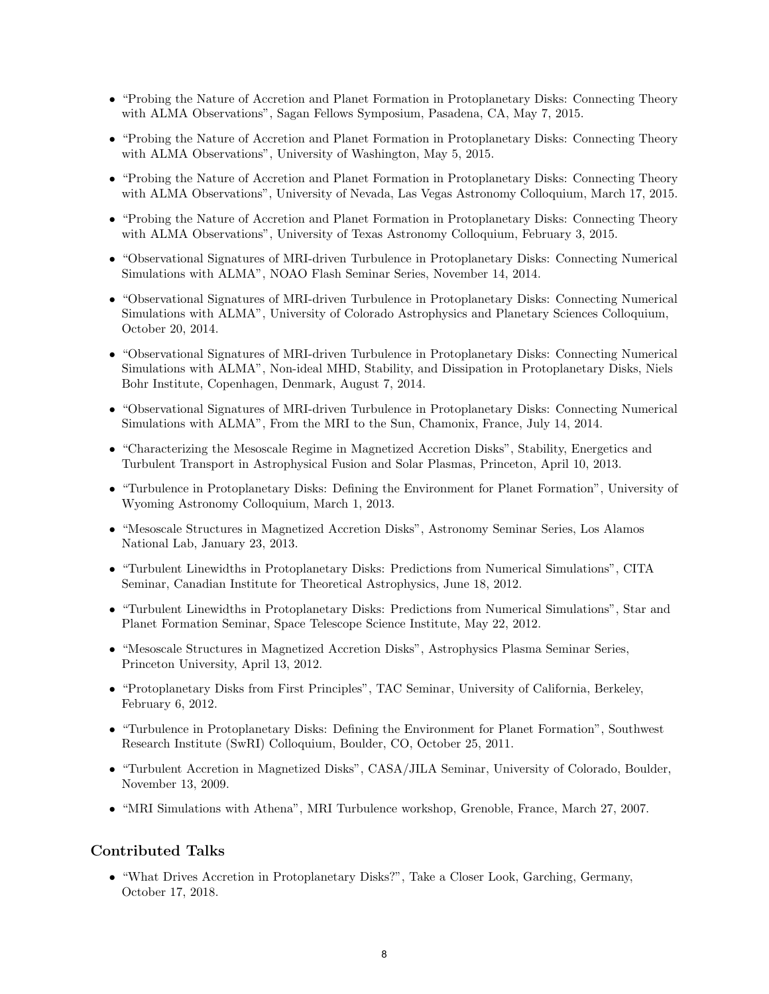- "Probing the Nature of Accretion and Planet Formation in Protoplanetary Disks: Connecting Theory with ALMA Observations", Sagan Fellows Symposium, Pasadena, CA, May 7, 2015.
- "Probing the Nature of Accretion and Planet Formation in Protoplanetary Disks: Connecting Theory with ALMA Observations", University of Washington, May 5, 2015.
- "Probing the Nature of Accretion and Planet Formation in Protoplanetary Disks: Connecting Theory with ALMA Observations", University of Nevada, Las Vegas Astronomy Colloquium, March 17, 2015.
- "Probing the Nature of Accretion and Planet Formation in Protoplanetary Disks: Connecting Theory with ALMA Observations", University of Texas Astronomy Colloquium, February 3, 2015.
- "Observational Signatures of MRI-driven Turbulence in Protoplanetary Disks: Connecting Numerical Simulations with ALMA", NOAO Flash Seminar Series, November 14, 2014.
- "Observational Signatures of MRI-driven Turbulence in Protoplanetary Disks: Connecting Numerical Simulations with ALMA", University of Colorado Astrophysics and Planetary Sciences Colloquium, October 20, 2014.
- "Observational Signatures of MRI-driven Turbulence in Protoplanetary Disks: Connecting Numerical Simulations with ALMA", Non-ideal MHD, Stability, and Dissipation in Protoplanetary Disks, Niels Bohr Institute, Copenhagen, Denmark, August 7, 2014.
- "Observational Signatures of MRI-driven Turbulence in Protoplanetary Disks: Connecting Numerical Simulations with ALMA", From the MRI to the Sun, Chamonix, France, July 14, 2014.
- "Characterizing the Mesoscale Regime in Magnetized Accretion Disks", Stability, Energetics and Turbulent Transport in Astrophysical Fusion and Solar Plasmas, Princeton, April 10, 2013.
- *•* "Turbulence in Protoplanetary Disks: Defining the Environment for Planet Formation", University of Wyoming Astronomy Colloquium, March 1, 2013.
- *•* "Mesoscale Structures in Magnetized Accretion Disks", Astronomy Seminar Series, Los Alamos National Lab, January 23, 2013.
- *•* "Turbulent Linewidths in Protoplanetary Disks: Predictions from Numerical Simulations", CITA Seminar, Canadian Institute for Theoretical Astrophysics, June 18, 2012.
- *•* "Turbulent Linewidths in Protoplanetary Disks: Predictions from Numerical Simulations", Star and Planet Formation Seminar, Space Telescope Science Institute, May 22, 2012.
- *•* "Mesoscale Structures in Magnetized Accretion Disks", Astrophysics Plasma Seminar Series, Princeton University, April 13, 2012.
- "Protoplanetary Disks from First Principles", TAC Seminar, University of California, Berkeley, February 6, 2012.
- "Turbulence in Protoplanetary Disks: Defining the Environment for Planet Formation", Southwest Research Institute (SwRI) Colloquium, Boulder, CO, October 25, 2011.
- "Turbulent Accretion in Magnetized Disks", CASA/JILA Seminar, University of Colorado, Boulder, November 13, 2009.
- "MRI Simulations with Athena", MRI Turbulence workshop, Grenoble, France, March 27, 2007.

# Contributed Talks

• "What Drives Accretion in Protoplanetary Disks?", Take a Closer Look, Garching, Germany, October 17, 2018.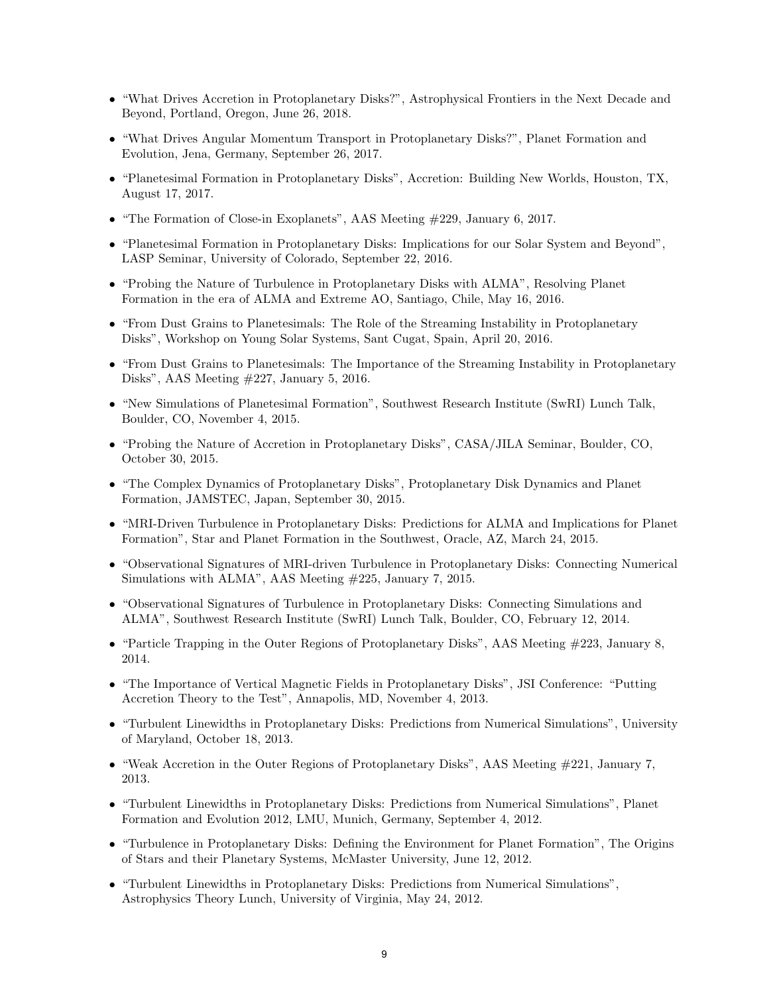- "What Drives Accretion in Protoplanetary Disks?", Astrophysical Frontiers in the Next Decade and Beyond, Portland, Oregon, June 26, 2018.
- *•* "What Drives Angular Momentum Transport in Protoplanetary Disks?", Planet Formation and Evolution, Jena, Germany, September 26, 2017.
- *•* "Planetesimal Formation in Protoplanetary Disks", Accretion: Building New Worlds, Houston, TX, August 17, 2017.
- "The Formation of Close-in Exoplanets", AAS Meeting  $\#229$ , January 6, 2017.
- "Planetesimal Formation in Protoplanetary Disks: Implications for our Solar System and Beyond", LASP Seminar, University of Colorado, September 22, 2016.
- *•* "Probing the Nature of Turbulence in Protoplanetary Disks with ALMA", Resolving Planet Formation in the era of ALMA and Extreme AO, Santiago, Chile, May 16, 2016.
- "From Dust Grains to Planetesimals: The Role of the Streaming Instability in Protoplanetary Disks", Workshop on Young Solar Systems, Sant Cugat, Spain, April 20, 2016.
- "From Dust Grains to Planetesimals: The Importance of the Streaming Instability in Protoplanetary Disks", AAS Meeting #227, January 5, 2016.
- "New Simulations of Planetesimal Formation", Southwest Research Institute (SwRI) Lunch Talk, Boulder, CO, November 4, 2015.
- "Probing the Nature of Accretion in Protoplanetary Disks", CASA/JILA Seminar, Boulder, CO, October 30, 2015.
- *•* "The Complex Dynamics of Protoplanetary Disks", Protoplanetary Disk Dynamics and Planet Formation, JAMSTEC, Japan, September 30, 2015.
- "MRI-Driven Turbulence in Protoplanetary Disks: Predictions for ALMA and Implications for Planet Formation", Star and Planet Formation in the Southwest, Oracle, AZ, March 24, 2015.
- "Observational Signatures of MRI-driven Turbulence in Protoplanetary Disks: Connecting Numerical Simulations with ALMA", AAS Meeting #225, January 7, 2015.
- "Observational Signatures of Turbulence in Protoplanetary Disks: Connecting Simulations and ALMA", Southwest Research Institute (SwRI) Lunch Talk, Boulder, CO, February 12, 2014.
- "Particle Trapping in the Outer Regions of Protoplanetary Disks", AAS Meeting #223, January 8, 2014.
- *•* "The Importance of Vertical Magnetic Fields in Protoplanetary Disks", JSI Conference: "Putting Accretion Theory to the Test", Annapolis, MD, November 4, 2013.
- *•* "Turbulent Linewidths in Protoplanetary Disks: Predictions from Numerical Simulations", University of Maryland, October 18, 2013.
- "Weak Accretion in the Outer Regions of Protoplanetary Disks", AAS Meeting #221, January 7, 2013.
- *•* "Turbulent Linewidths in Protoplanetary Disks: Predictions from Numerical Simulations", Planet Formation and Evolution 2012, LMU, Munich, Germany, September 4, 2012.
- *•* "Turbulence in Protoplanetary Disks: Defining the Environment for Planet Formation", The Origins of Stars and their Planetary Systems, McMaster University, June 12, 2012.
- *•* "Turbulent Linewidths in Protoplanetary Disks: Predictions from Numerical Simulations", Astrophysics Theory Lunch, University of Virginia, May 24, 2012.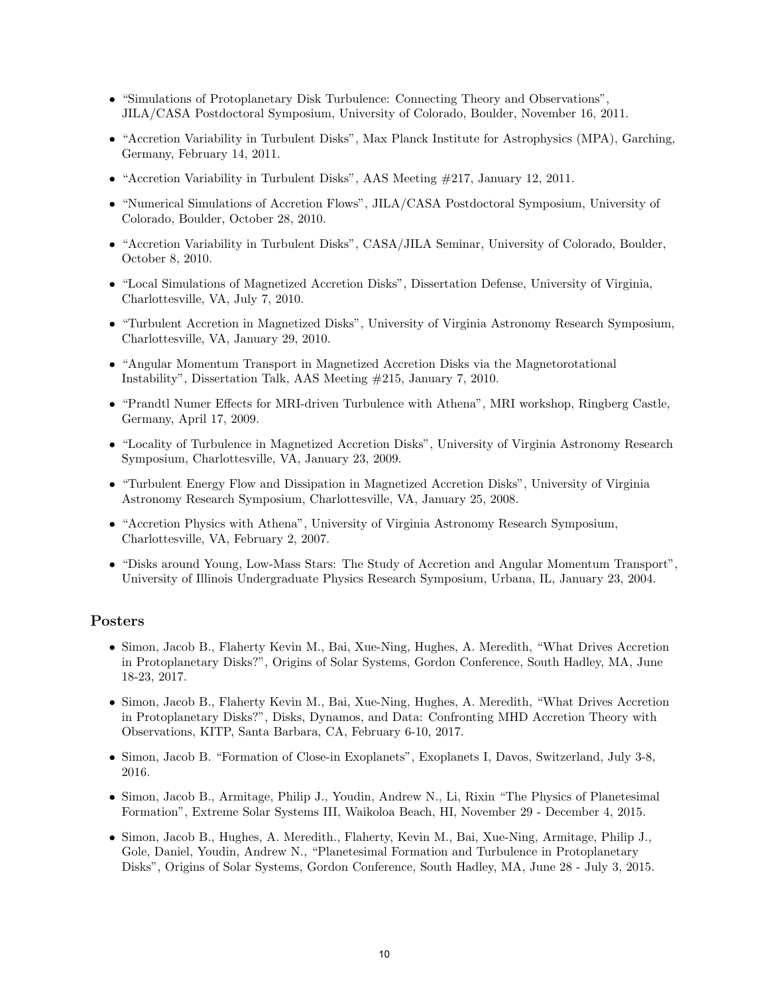- *•* "Simulations of Protoplanetary Disk Turbulence: Connecting Theory and Observations", JILA/CASA Postdoctoral Symposium, University of Colorado, Boulder, November 16, 2011.
- "Accretion Variability in Turbulent Disks", Max Planck Institute for Astrophysics (MPA), Garching, Germany, February 14, 2011.
- *•* "Accretion Variability in Turbulent Disks", AAS Meeting #217, January 12, 2011.
- "Numerical Simulations of Accretion Flows", JILA/CASA Postdoctoral Symposium, University of Colorado, Boulder, October 28, 2010.
- "Accretion Variability in Turbulent Disks", CASA/JILA Seminar, University of Colorado, Boulder, October 8, 2010.
- *•* "Local Simulations of Magnetized Accretion Disks", Dissertation Defense, University of Virginia, Charlottesville, VA, July 7, 2010.
- *•* "Turbulent Accretion in Magnetized Disks", University of Virginia Astronomy Research Symposium, Charlottesville, VA, January 29, 2010.
- "Angular Momentum Transport in Magnetized Accretion Disks via the Magnetorotational Instability", Dissertation Talk, AAS Meeting #215, January 7, 2010.
- "Prandtl Numer Effects for MRI-driven Turbulence with Athena", MRI workshop, Ringberg Castle, Germany, April 17, 2009.
- "Locality of Turbulence in Magnetized Accretion Disks", University of Virginia Astronomy Research Symposium, Charlottesville, VA, January 23, 2009.
- "Turbulent Energy Flow and Dissipation in Magnetized Accretion Disks", University of Virginia Astronomy Research Symposium, Charlottesville, VA, January 25, 2008.
- *•* "Accretion Physics with Athena", University of Virginia Astronomy Research Symposium, Charlottesville, VA, February 2, 2007.
- "Disks around Young, Low-Mass Stars: The Study of Accretion and Angular Momentum Transport", University of Illinois Undergraduate Physics Research Symposium, Urbana, IL, January 23, 2004.

# Posters

- *•* Simon, Jacob B., Flaherty Kevin M., Bai, Xue-Ning, Hughes, A. Meredith, "What Drives Accretion in Protoplanetary Disks?", Origins of Solar Systems, Gordon Conference, South Hadley, MA, June 18-23, 2017.
- *•* Simon, Jacob B., Flaherty Kevin M., Bai, Xue-Ning, Hughes, A. Meredith, "What Drives Accretion in Protoplanetary Disks?", Disks, Dynamos, and Data: Confronting MHD Accretion Theory with Observations, KITP, Santa Barbara, CA, February 6-10, 2017.
- *•* Simon, Jacob B. "Formation of Close-in Exoplanets", Exoplanets I, Davos, Switzerland, July 3-8, 2016.
- *•* Simon, Jacob B., Armitage, Philip J., Youdin, Andrew N., Li, Rixin "The Physics of Planetesimal Formation", Extreme Solar Systems III, Waikoloa Beach, HI, November 29 - December 4, 2015.
- *•* Simon, Jacob B., Hughes, A. Meredith., Flaherty, Kevin M., Bai, Xue-Ning, Armitage, Philip J., Gole, Daniel, Youdin, Andrew N., "Planetesimal Formation and Turbulence in Protoplanetary Disks", Origins of Solar Systems, Gordon Conference, South Hadley, MA, June 28 - July 3, 2015.